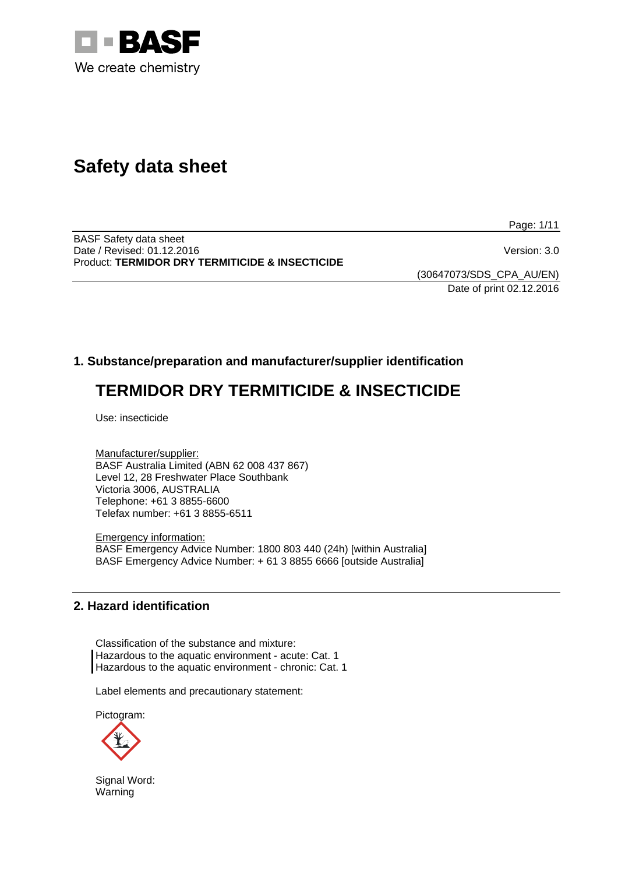

# **Safety data sheet**

Page: 1/11

BASF Safety data sheet Date / Revised: 01.12.2016 Version: 3.0 Product: **TERMIDOR DRY TERMITICIDE & INSECTICIDE**

(30647073/SDS\_CPA\_AU/EN) Date of print 02.12.2016

# **1. Substance/preparation and manufacturer/supplier identification**

# **TERMIDOR DRY TERMITICIDE & INSECTICIDE**

Use: insecticide

Manufacturer/supplier: BASF Australia Limited (ABN 62 008 437 867) Level 12, 28 Freshwater Place Southbank Victoria 3006, AUSTRALIA Telephone: +61 3 8855-6600 Telefax number: +61 3 8855-6511

Emergency information: BASF Emergency Advice Number: 1800 803 440 (24h) [within Australia] BASF Emergency Advice Number: + 61 3 8855 6666 [outside Australia]

# **2. Hazard identification**

Classification of the substance and mixture: Hazardous to the aquatic environment - acute: Cat. 1 Hazardous to the aquatic environment - chronic: Cat. 1

Label elements and precautionary statement:

Pictogram:



Signal Word: **Warning**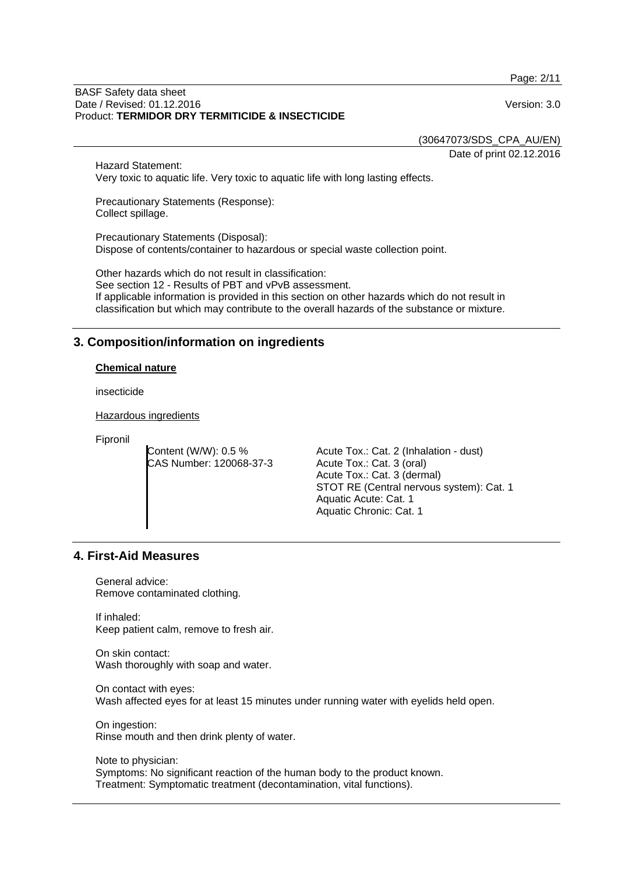BASF Safety data sheet Date / Revised: 01.12.2016 **Version: 3.0** Product: **TERMIDOR DRY TERMITICIDE & INSECTICIDE**

Page: 2/11

(30647073/SDS\_CPA\_AU/EN)

Date of print 02.12.2016

Hazard Statement: Very toxic to aquatic life. Very toxic to aquatic life with long lasting effects.

Precautionary Statements (Response): Collect spillage.

Precautionary Statements (Disposal): Dispose of contents/container to hazardous or special waste collection point.

Other hazards which do not result in classification: See section 12 - Results of PBT and vPvB assessment. If applicable information is provided in this section on other hazards which do not result in classification but which may contribute to the overall hazards of the substance or mixture.

# **3. Composition/information on ingredients**

#### **Chemical nature**

insecticide

Hazardous ingredients

Fipronil

Content (W/W): 0.5 % CAS Number: 120068-37-3 Acute Tox.: Cat. 2 (Inhalation - dust) Acute Tox.: Cat. 3 (oral) Acute Tox.: Cat. 3 (dermal) STOT RE (Central nervous system): Cat. 1 Aquatic Acute: Cat. 1 Aquatic Chronic: Cat. 1

# **4. First-Aid Measures**

General advice: Remove contaminated clothing.

If inhaled: Keep patient calm, remove to fresh air.

On skin contact: Wash thoroughly with soap and water.

On contact with eyes: Wash affected eyes for at least 15 minutes under running water with eyelids held open.

On ingestion: Rinse mouth and then drink plenty of water.

Note to physician: Symptoms: No significant reaction of the human body to the product known. Treatment: Symptomatic treatment (decontamination, vital functions).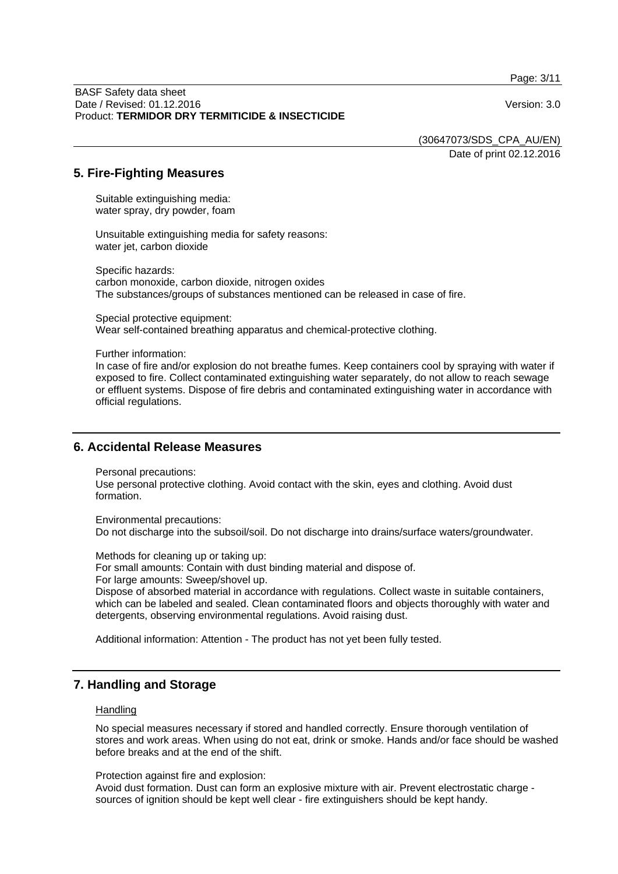Page: 3/11

#### BASF Safety data sheet Date / Revised: 01.12.2016 **Version: 3.0** Product: **TERMIDOR DRY TERMITICIDE & INSECTICIDE**

(30647073/SDS\_CPA\_AU/EN)

Date of print 02.12.2016

# **5. Fire-Fighting Measures**

Suitable extinguishing media: water spray, dry powder, foam

Unsuitable extinguishing media for safety reasons: water jet, carbon dioxide

Specific hazards: carbon monoxide, carbon dioxide, nitrogen oxides The substances/groups of substances mentioned can be released in case of fire.

Special protective equipment: Wear self-contained breathing apparatus and chemical-protective clothing.

Further information:

In case of fire and/or explosion do not breathe fumes. Keep containers cool by spraying with water if exposed to fire. Collect contaminated extinguishing water separately, do not allow to reach sewage or effluent systems. Dispose of fire debris and contaminated extinguishing water in accordance with official regulations.

# **6. Accidental Release Measures**

Personal precautions:

Use personal protective clothing. Avoid contact with the skin, eyes and clothing. Avoid dust formation.

Environmental precautions:

Do not discharge into the subsoil/soil. Do not discharge into drains/surface waters/groundwater.

Methods for cleaning up or taking up:

For small amounts: Contain with dust binding material and dispose of.

For large amounts: Sweep/shovel up.

Dispose of absorbed material in accordance with regulations. Collect waste in suitable containers, which can be labeled and sealed. Clean contaminated floors and objects thoroughly with water and detergents, observing environmental regulations. Avoid raising dust.

Additional information: Attention - The product has not yet been fully tested.

# **7. Handling and Storage**

#### **Handling**

No special measures necessary if stored and handled correctly. Ensure thorough ventilation of stores and work areas. When using do not eat, drink or smoke. Hands and/or face should be washed before breaks and at the end of the shift.

Protection against fire and explosion:

Avoid dust formation. Dust can form an explosive mixture with air. Prevent electrostatic charge sources of ignition should be kept well clear - fire extinguishers should be kept handy.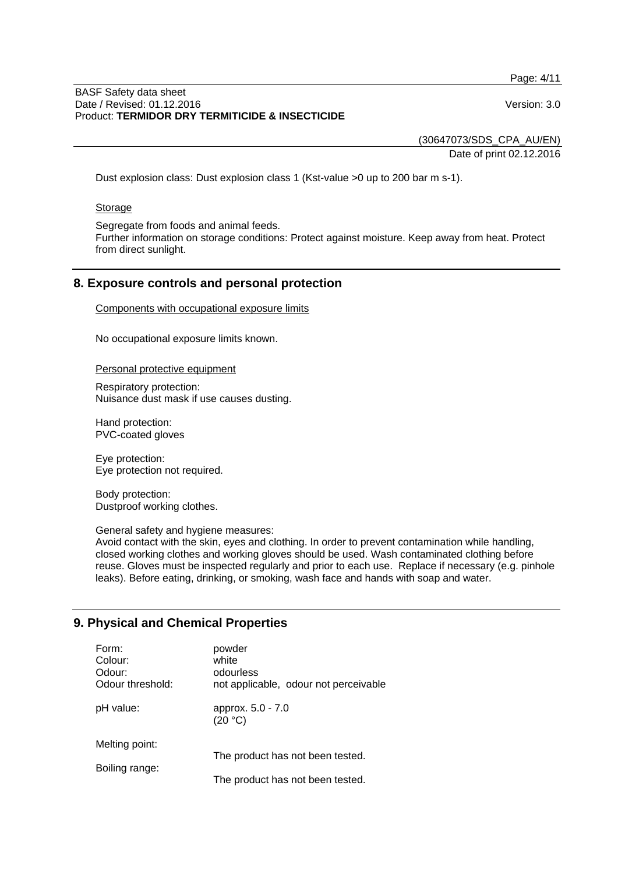Page: 4/11

#### BASF Safety data sheet Date / Revised: 01.12.2016 Version: 3.0 Product: **TERMIDOR DRY TERMITICIDE & INSECTICIDE**

(30647073/SDS\_CPA\_AU/EN) Date of print 02.12.2016

Dust explosion class: Dust explosion class 1 (Kst-value >0 up to 200 bar m s-1).

#### **Storage**

Segregate from foods and animal feeds.

Further information on storage conditions: Protect against moisture. Keep away from heat. Protect from direct sunlight.

# **8. Exposure controls and personal protection**

Components with occupational exposure limits

No occupational exposure limits known.

Personal protective equipment

Respiratory protection: Nuisance dust mask if use causes dusting.

Hand protection: PVC-coated gloves

Eye protection: Eye protection not required.

Body protection: Dustproof working clothes.

General safety and hygiene measures:

Avoid contact with the skin, eyes and clothing. In order to prevent contamination while handling, closed working clothes and working gloves should be used. Wash contaminated clothing before reuse. Gloves must be inspected regularly and prior to each use. Replace if necessary (e.g. pinhole leaks). Before eating, drinking, or smoking, wash face and hands with soap and water.

# **9. Physical and Chemical Properties**

| Form:<br>Colour:<br>Odour:<br>Odour threshold: | powder<br>white<br>odourless<br>not applicable, odour not perceivable |
|------------------------------------------------|-----------------------------------------------------------------------|
| pH value:                                      | approx. 5.0 - 7.0<br>(20 °C)                                          |
| Melting point:                                 |                                                                       |
| Boiling range:                                 | The product has not been tested.                                      |
|                                                | The product has not been tested.                                      |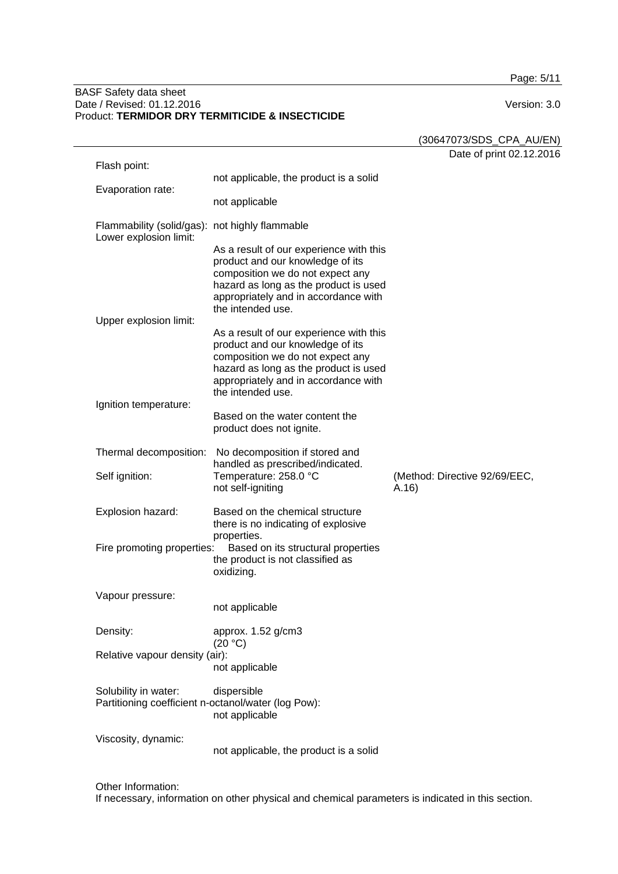Page: 5/11

#### BASF Safety data sheet Date / Revised: 01.12.2016 Version: 3.0 Product: **TERMIDOR DRY TERMITICIDE & INSECTICIDE**

|                                                                             |                                                                                                                                                                                                                       | (30647073/SDS_CPA_AU/EN)              |
|-----------------------------------------------------------------------------|-----------------------------------------------------------------------------------------------------------------------------------------------------------------------------------------------------------------------|---------------------------------------|
| Flash point:                                                                |                                                                                                                                                                                                                       | Date of print 02.12.2016              |
|                                                                             | not applicable, the product is a solid                                                                                                                                                                                |                                       |
| Evaporation rate:                                                           | not applicable                                                                                                                                                                                                        |                                       |
| Flammability (solid/gas): not highly flammable<br>Lower explosion limit:    |                                                                                                                                                                                                                       |                                       |
|                                                                             | As a result of our experience with this<br>product and our knowledge of its<br>composition we do not expect any<br>hazard as long as the product is used<br>appropriately and in accordance with<br>the intended use. |                                       |
| Upper explosion limit:                                                      |                                                                                                                                                                                                                       |                                       |
| Ignition temperature:                                                       | As a result of our experience with this<br>product and our knowledge of its<br>composition we do not expect any<br>hazard as long as the product is used<br>appropriately and in accordance with<br>the intended use. |                                       |
|                                                                             | Based on the water content the<br>product does not ignite.                                                                                                                                                            |                                       |
| Thermal decomposition:                                                      | No decomposition if stored and                                                                                                                                                                                        |                                       |
| Self ignition:                                                              | handled as prescribed/indicated.<br>Temperature: 258.0 °C<br>not self-igniting                                                                                                                                        | (Method: Directive 92/69/EEC,<br>A.16 |
| Explosion hazard:                                                           | Based on the chemical structure<br>there is no indicating of explosive<br>properties.                                                                                                                                 |                                       |
| Fire promoting properties:                                                  | Based on its structural properties<br>the product is not classified as<br>oxidizing.                                                                                                                                  |                                       |
| Vapour pressure:                                                            | not applicable                                                                                                                                                                                                        |                                       |
| Density:                                                                    | approx. 1.52 g/cm3<br>(20 °C)                                                                                                                                                                                         |                                       |
| Relative vapour density (air):<br>not applicable                            |                                                                                                                                                                                                                       |                                       |
| Solubility in water:<br>Partitioning coefficient n-octanol/water (log Pow): | dispersible<br>not applicable                                                                                                                                                                                         |                                       |
| Viscosity, dynamic:                                                         | not applicable, the product is a solid                                                                                                                                                                                |                                       |

Other Information:

If necessary, information on other physical and chemical parameters is indicated in this section.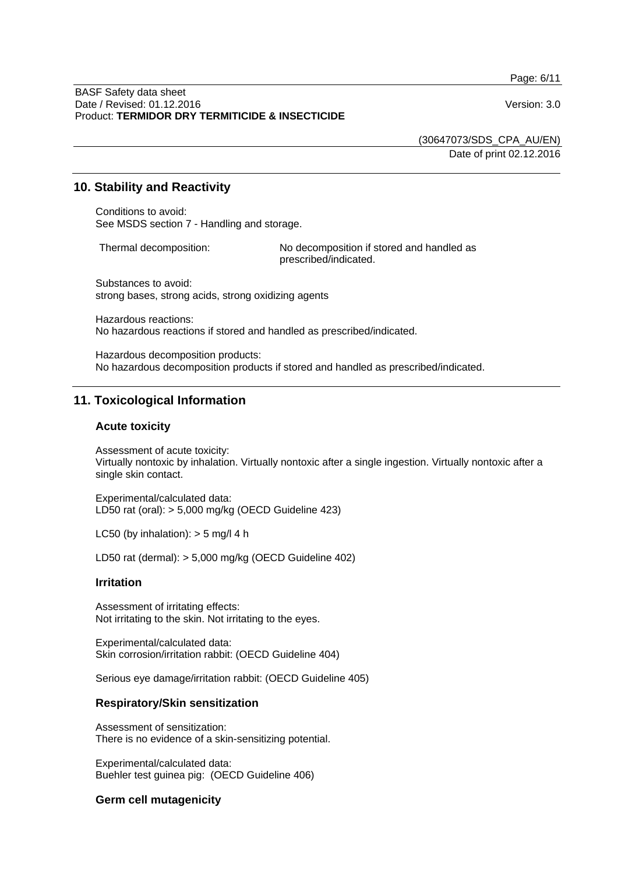Page: 6/11

(30647073/SDS\_CPA\_AU/EN) Date of print 02.12.2016

# **10. Stability and Reactivity**

Conditions to avoid: See MSDS section 7 - Handling and storage.

Thermal decomposition: No decomposition if stored and handled as prescribed/indicated.

Substances to avoid: strong bases, strong acids, strong oxidizing agents

Hazardous reactions: No hazardous reactions if stored and handled as prescribed/indicated.

Hazardous decomposition products: No hazardous decomposition products if stored and handled as prescribed/indicated.

# **11. Toxicological Information**

#### **Acute toxicity**

Assessment of acute toxicity: Virtually nontoxic by inhalation. Virtually nontoxic after a single ingestion. Virtually nontoxic after a single skin contact.

Experimental/calculated data: LD50 rat (oral): > 5,000 mg/kg (OECD Guideline 423)

LC50 (by inhalation):  $>$  5 mg/l 4 h

LD50 rat (dermal): > 5,000 mg/kg (OECD Guideline 402)

#### **Irritation**

Assessment of irritating effects: Not irritating to the skin. Not irritating to the eyes.

Experimental/calculated data: Skin corrosion/irritation rabbit: (OECD Guideline 404)

Serious eye damage/irritation rabbit: (OECD Guideline 405)

#### **Respiratory/Skin sensitization**

Assessment of sensitization: There is no evidence of a skin-sensitizing potential.

Experimental/calculated data: Buehler test guinea pig: (OECD Guideline 406)

#### **Germ cell mutagenicity**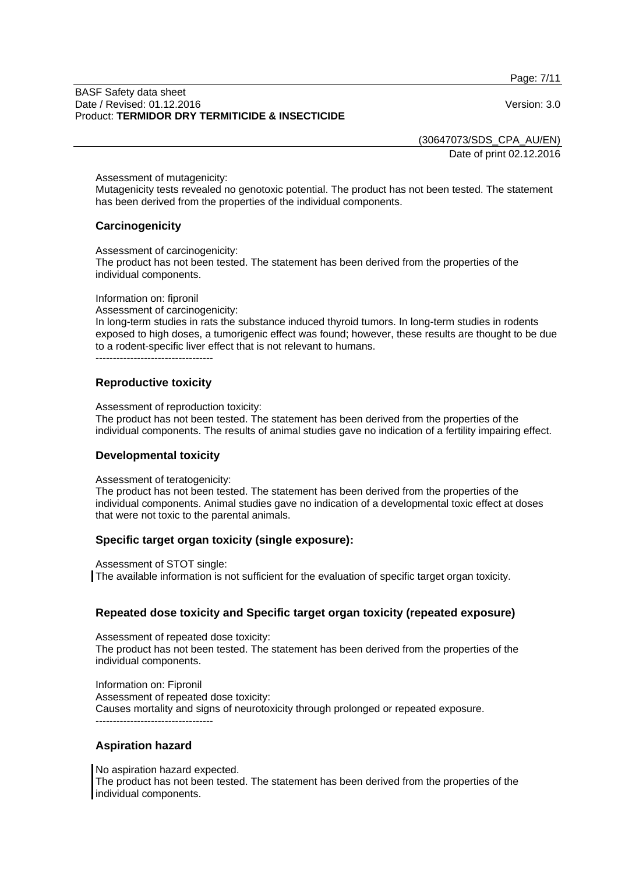Page: 7/11

#### BASF Safety data sheet Date / Revised: 01.12.2016 **Version: 3.0** Product: **TERMIDOR DRY TERMITICIDE & INSECTICIDE**

(30647073/SDS\_CPA\_AU/EN) Date of print 02.12.2016

Assessment of mutagenicity:

Mutagenicity tests revealed no genotoxic potential. The product has not been tested. The statement has been derived from the properties of the individual components.

#### **Carcinogenicity**

Assessment of carcinogenicity:

The product has not been tested. The statement has been derived from the properties of the individual components.

Information on: fipronil

Assessment of carcinogenicity:

In long-term studies in rats the substance induced thyroid tumors. In long-term studies in rodents exposed to high doses, a tumorigenic effect was found; however, these results are thought to be due to a rodent-specific liver effect that is not relevant to humans.

----------------------------------

#### **Reproductive toxicity**

Assessment of reproduction toxicity:

The product has not been tested. The statement has been derived from the properties of the individual components. The results of animal studies gave no indication of a fertility impairing effect.

#### **Developmental toxicity**

Assessment of teratogenicity:

The product has not been tested. The statement has been derived from the properties of the individual components. Animal studies gave no indication of a developmental toxic effect at doses that were not toxic to the parental animals.

# **Specific target organ toxicity (single exposure):**

Assessment of STOT single: The available information is not sufficient for the evaluation of specific target organ toxicity.

# **Repeated dose toxicity and Specific target organ toxicity (repeated exposure)**

Assessment of repeated dose toxicity: The product has not been tested. The statement has been derived from the properties of the individual components.

Information on: Fipronil Assessment of repeated dose toxicity: Causes mortality and signs of neurotoxicity through prolonged or repeated exposure. ----------------------------------

# **Aspiration hazard**

No aspiration hazard expected.

The product has not been tested. The statement has been derived from the properties of the individual components.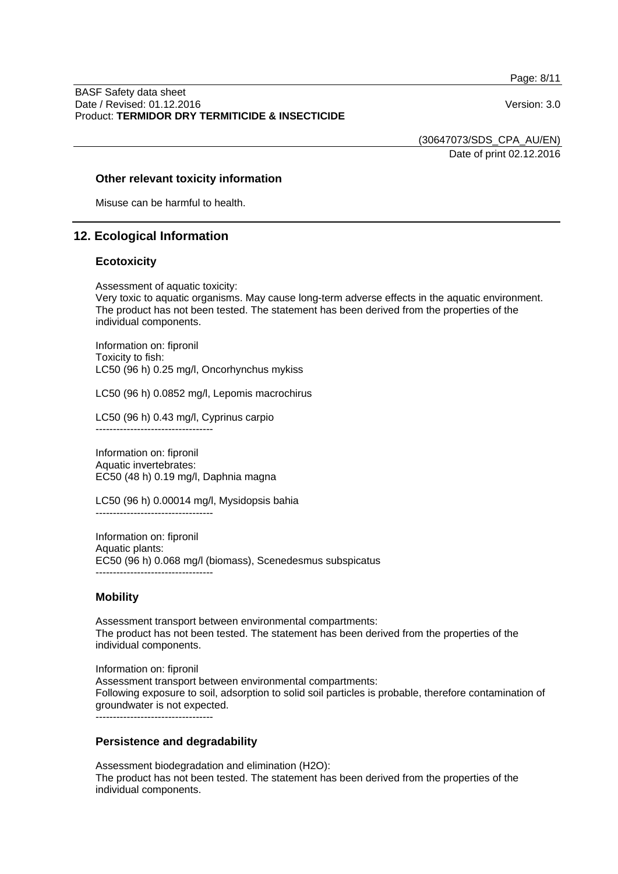Page: 8/11

#### BASF Safety data sheet Date / Revised: 01.12.2016 **Version: 3.0** Product: **TERMIDOR DRY TERMITICIDE & INSECTICIDE**

(30647073/SDS\_CPA\_AU/EN)

Date of print 02.12.2016

#### **Other relevant toxicity information**

Misuse can be harmful to health.

# **12. Ecological Information**

#### **Ecotoxicity**

Assessment of aquatic toxicity: Very toxic to aquatic organisms. May cause long-term adverse effects in the aquatic environment. The product has not been tested. The statement has been derived from the properties of the individual components.

Information on: fipronil Toxicity to fish: LC50 (96 h) 0.25 mg/l, Oncorhynchus mykiss

LC50 (96 h) 0.0852 mg/l, Lepomis macrochirus

LC50 (96 h) 0.43 mg/l, Cyprinus carpio ----------------------------------

Information on: fipronil Aquatic invertebrates: EC50 (48 h) 0.19 mg/l, Daphnia magna

LC50 (96 h) 0.00014 mg/l, Mysidopsis bahia

----------------------------------

Information on: fipronil Aquatic plants: EC50 (96 h) 0.068 mg/l (biomass), Scenedesmus subspicatus ----------------------------------

# **Mobility**

Assessment transport between environmental compartments: The product has not been tested. The statement has been derived from the properties of the individual components.

Information on: fipronil Assessment transport between environmental compartments: Following exposure to soil, adsorption to solid soil particles is probable, therefore contamination of groundwater is not expected. ----------------------------------

# **Persistence and degradability**

Assessment biodegradation and elimination (H2O): The product has not been tested. The statement has been derived from the properties of the individual components.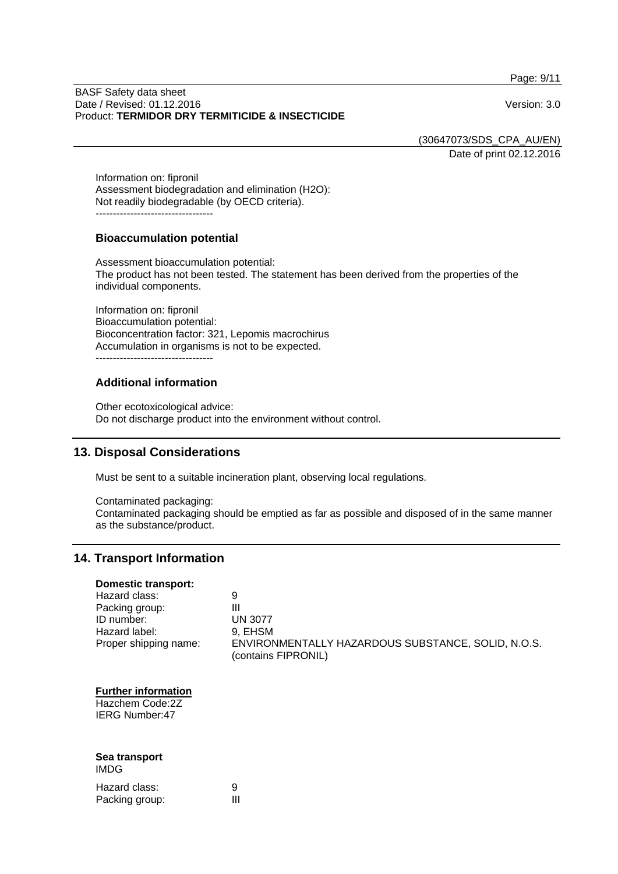Page: 9/11

#### BASF Safety data sheet Date / Revised: 01.12.2016 **Version: 3.0** Product: **TERMIDOR DRY TERMITICIDE & INSECTICIDE**

(30647073/SDS\_CPA\_AU/EN) Date of print 02.12.2016

Information on: fipronil Assessment biodegradation and elimination (H2O): Not readily biodegradable (by OECD criteria). ----------------------------------

# **Bioaccumulation potential**

Assessment bioaccumulation potential: The product has not been tested. The statement has been derived from the properties of the individual components.

Information on: fipronil Bioaccumulation potential: Bioconcentration factor: 321, Lepomis macrochirus Accumulation in organisms is not to be expected.

----------------------------------

#### **Additional information**

Other ecotoxicological advice: Do not discharge product into the environment without control.

# **13. Disposal Considerations**

Must be sent to a suitable incineration plant, observing local regulations.

Contaminated packaging: Contaminated packaging should be emptied as far as possible and disposed of in the same manner as the substance/product.

# **14. Transport Information**

#### **Domestic transport:** Hazard class: 9 Packing group: III ID number: Hazard label: 9, EHSM

Proper shipping name: ENVIRONMENTALLY HAZARDOUS SUBSTANCE, SOLID, N.O.S. (contains FIPRONIL)

# **Further information**

Hazchem Code:2Z IERG Number:47

# **Sea transport** IMDG

| Hazard class:  | 9 |
|----------------|---|
| Packing group: | Ш |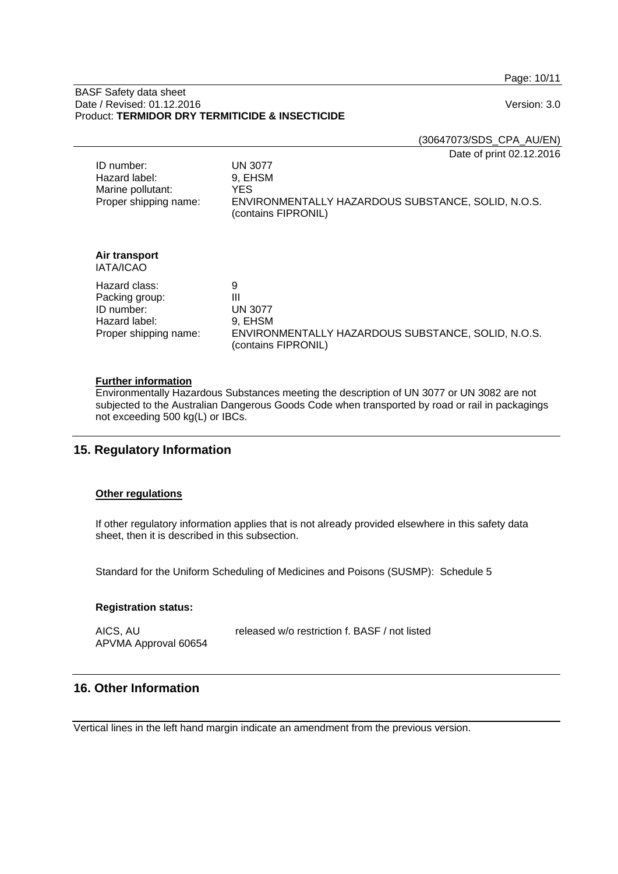Page: 10/11

#### BASF Safety data sheet Date / Revised: 01.12.2016 Version: 3.0 Product: **TERMIDOR DRY TERMITICIDE & INSECTICIDE**

(30647073/SDS\_CPA\_AU/EN)

Date of print 02.12.2016

| ID number:            | <b>UN 3077</b>                                     |
|-----------------------|----------------------------------------------------|
| Hazard label:         | 9. EHSM                                            |
| Marine pollutant:     | YES.                                               |
| Proper shipping name: | ENVIRONMENTALLY HAZARDOUS SUBSTANCE, SOLID, N.O.S. |
|                       | (contains FIPRONIL)                                |
|                       |                                                    |

| Air transport    |
|------------------|
| <b>IATA/ICAO</b> |

| Hazard class:         | 9                                                                         |
|-----------------------|---------------------------------------------------------------------------|
| Packing group:        | Ш                                                                         |
| ID number:            | <b>UN 3077</b>                                                            |
| Hazard label:         | 9. EHSM                                                                   |
| Proper shipping name: | ENVIRONMENTALLY HAZARDOUS SUBSTANCE, SOLID, N.O.S.<br>(contains FIPRONIL) |

#### **Further information**

Environmentally Hazardous Substances meeting the description of UN 3077 or UN 3082 are not subjected to the Australian Dangerous Goods Code when transported by road or rail in packagings not exceeding 500 kg(L) or IBCs.

# **15. Regulatory Information**

#### **Other regulations**

If other regulatory information applies that is not already provided elsewhere in this safety data sheet, then it is described in this subsection.

Standard for the Uniform Scheduling of Medicines and Poisons (SUSMP): Schedule 5

#### **Registration status:**

AICS, AU released w/o restriction f. BASF / not listed APVMA Approval 60654

# **16. Other Information**

Vertical lines in the left hand margin indicate an amendment from the previous version.